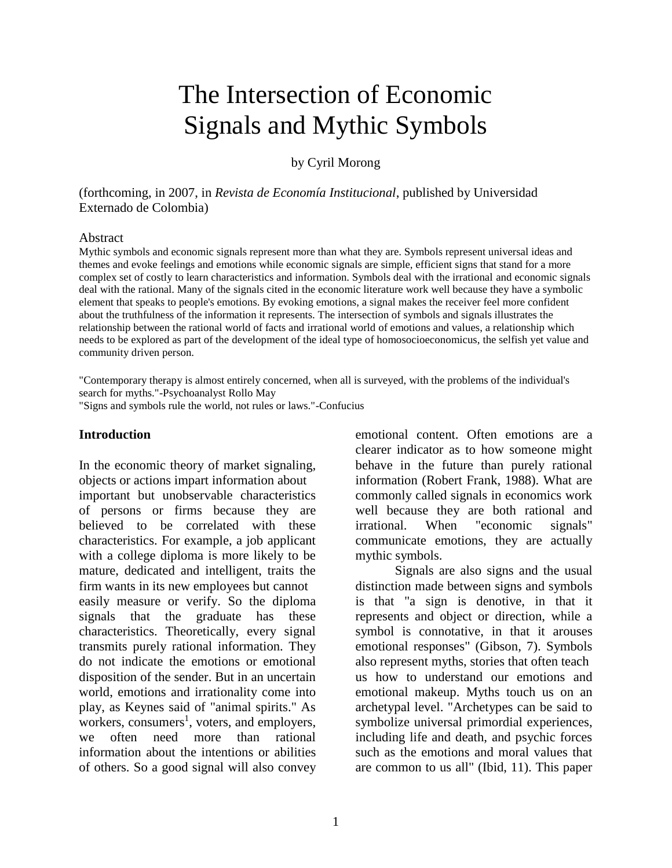# The Intersection of Economic Signals and Mythic Symbols

by Cyril Morong

(forthcoming, in 2007, in *Revista de Economía Institucional*, published by Universidad Externado de Colombia)

#### Abstract

Mythic symbols and economic signals represent more than what they are. Symbols represent universal ideas and themes and evoke feelings and emotions while economic signals are simple, efficient signs that stand for a more complex set of costly to learn characteristics and information. Symbols deal with the irrational and economic signals deal with the rational. Many of the signals cited in the economic literature work well because they have a symbolic element that speaks to people's emotions. By evoking emotions, a signal makes the receiver feel more confident about the truthfulness of the information it represents. The intersection of symbols and signals illustrates the relationship between the rational world of facts and irrational world of emotions and values, a relationship which needs to be explored as part of the development of the ideal type of homosocioeconomicus, the selfish yet value and community driven person.

"Contemporary therapy is almost entirely concerned, when all is surveyed, with the problems of the individual's search for myths."-Psychoanalyst Rollo May

"Signs and symbols rule the world, not rules or laws."-Confucius

#### **Introduction**

In the economic theory of market signaling, objects or actions impart information about important but unobservable characteristics of persons or firms because they are believed to be correlated with these characteristics. For example, a job applicant with a college diploma is more likely to be mature, dedicated and intelligent, traits the firm wants in its new employees but cannot easily measure or verify. So the diploma signals that the graduate has these characteristics. Theoretically, every signal transmits purely rational information. They do not indicate the emotions or emotional disposition of the sender. But in an uncertain world, emotions and irrationality come into play, as Keynes said of "animal spirits." As workers, consumers<sup>1</sup>, voters, and employers, we often need more than rational information about the intentions or abilities of others. So a good signal will also convey

emotional content. Often emotions are a clearer indicator as to how someone might behave in the future than purely rational information (Robert Frank, 1988). What are commonly called signals in economics work well because they are both rational and irrational. When "economic signals" communicate emotions, they are actually mythic symbols.

Signals are also signs and the usual distinction made between signs and symbols is that "a sign is denotive, in that it represents and object or direction, while a symbol is connotative, in that it arouses emotional responses" (Gibson, 7). Symbols also represent myths, stories that often teach us how to understand our emotions and emotional makeup. Myths touch us on an archetypal level. "Archetypes can be said to symbolize universal primordial experiences, including life and death, and psychic forces such as the emotions and moral values that are common to us all" (Ibid, 11). This paper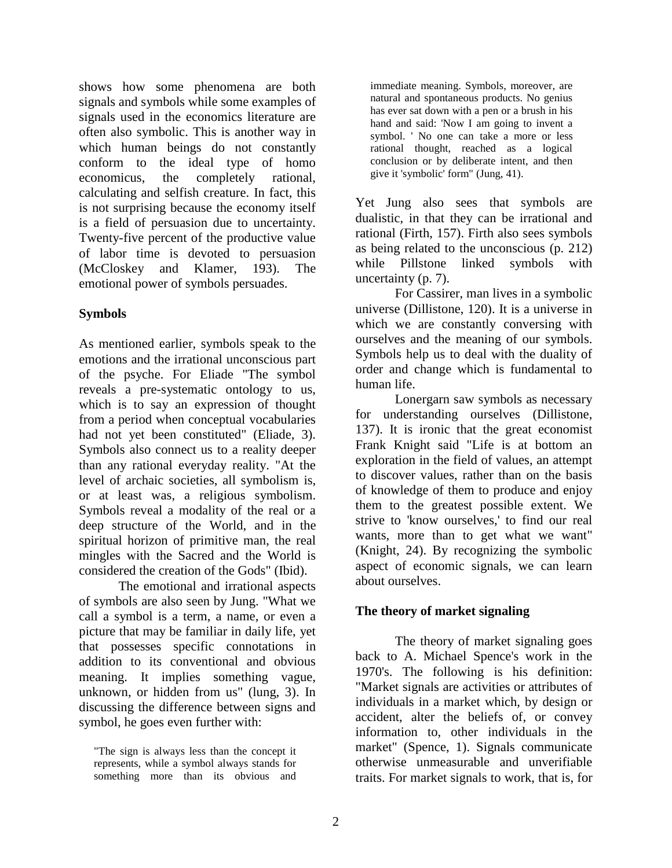shows how some phenomena are both signals and symbols while some examples of signals used in the economics literature are often also symbolic. This is another way in which human beings do not constantly conform to the ideal type of homo economicus, the completely rational, calculating and selfish creature. In fact, this is not surprising because the economy itself is a field of persuasion due to uncertainty. Twenty-five percent of the productive value of labor time is devoted to persuasion (McCloskey and Klamer, 193). The emotional power of symbols persuades.

## **Symbols**

As mentioned earlier, symbols speak to the emotions and the irrational unconscious part of the psyche. For Eliade "The symbol reveals a pre-systematic ontology to us, which is to say an expression of thought from a period when conceptual vocabularies had not yet been constituted" (Eliade, 3). Symbols also connect us to a reality deeper than any rational everyday reality. "At the level of archaic societies, all symbolism is, or at least was, a religious symbolism. Symbols reveal a modality of the real or a deep structure of the World, and in the spiritual horizon of primitive man, the real mingles with the Sacred and the World is considered the creation of the Gods" (Ibid).

The emotional and irrational aspects of symbols are also seen by Jung. "What we call a symbol is a term, a name, or even a picture that may be familiar in daily life, yet that possesses specific connotations in addition to its conventional and obvious meaning. It implies something vague, unknown, or hidden from us" (lung, 3). In discussing the difference between signs and symbol, he goes even further with:

immediate meaning. Symbols, moreover, are natural and spontaneous products. No genius has ever sat down with a pen or a brush in his hand and said: 'Now I am going to invent a symbol. ' No one can take a more or less rational thought, reached as a logical conclusion or by deliberate intent, and then give it 'symbolic' form" (Jung, 41).

Yet Jung also sees that symbols are dualistic, in that they can be irrational and rational (Firth, 157). Firth also sees symbols as being related to the unconscious (p. 212) while Pillstone linked symbols with uncertainty (p. 7).

For Cassirer, man lives in a symbolic universe (Dillistone, 120). It is a universe in which we are constantly conversing with ourselves and the meaning of our symbols. Symbols help us to deal with the duality of order and change which is fundamental to human life.

Lonergarn saw symbols as necessary for understanding ourselves (Dillistone, 137). It is ironic that the great economist Frank Knight said "Life is at bottom an exploration in the field of values, an attempt to discover values, rather than on the basis of knowledge of them to produce and enjoy them to the greatest possible extent. We strive to 'know ourselves,' to find our real wants, more than to get what we want" (Knight, 24). By recognizing the symbolic aspect of economic signals, we can learn about ourselves.

# **The theory of market signaling**

The theory of market signaling goes back to A. Michael Spence's work in the 1970's. The following is his definition: "Market signals are activities or attributes of individuals in a market which, by design or accident, alter the beliefs of, or convey information to, other individuals in the market" (Spence, 1). Signals communicate otherwise unmeasurable and unverifiable traits. For market signals to work, that is, for

<sup>&</sup>quot;The sign is always less than the concept it represents, while a symbol always stands for something more than its obvious and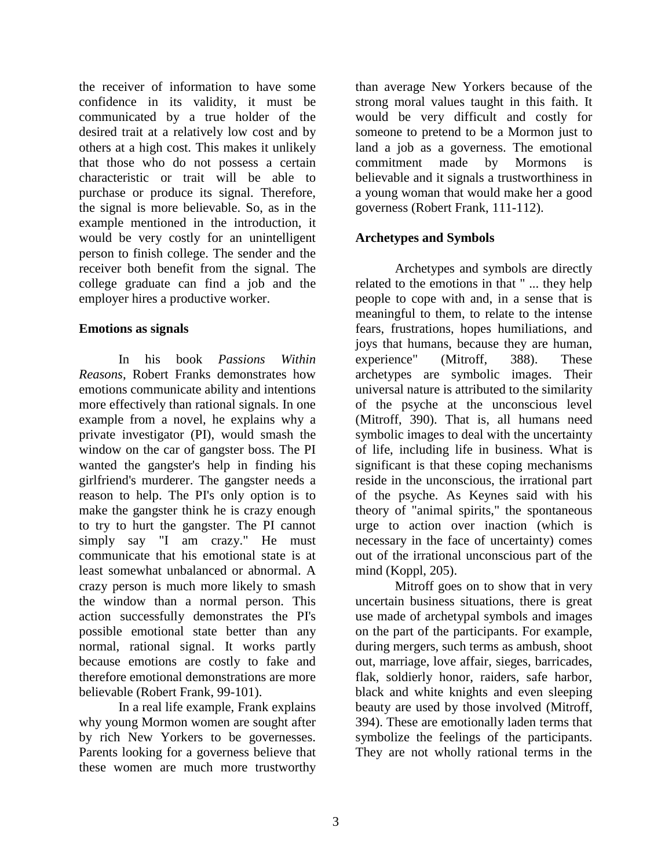the receiver of information to have some confidence in its validity, it must be communicated by a true holder of the desired trait at a relatively low cost and by others at a high cost. This makes it unlikely that those who do not possess a certain characteristic or trait will be able to purchase or produce its signal. Therefore, the signal is more believable. So, as in the example mentioned in the introduction, it would be very costly for an unintelligent person to finish college. The sender and the receiver both benefit from the signal. The college graduate can find a job and the employer hires a productive worker.

#### **Emotions as signals**

In his book *Passions Within Reasons*, Robert Franks demonstrates how emotions communicate ability and intentions more effectively than rational signals. In one example from a novel, he explains why a private investigator (PI), would smash the window on the car of gangster boss. The PI wanted the gangster's help in finding his girlfriend's murderer. The gangster needs a reason to help. The PI's only option is to make the gangster think he is crazy enough to try to hurt the gangster. The PI cannot simply say "I am crazy." He must communicate that his emotional state is at least somewhat unbalanced or abnormal. A crazy person is much more likely to smash the window than a normal person. This action successfully demonstrates the PI's possible emotional state better than any normal, rational signal. It works partly because emotions are costly to fake and therefore emotional demonstrations are more believable (Robert Frank, 99-101).

In a real life example, Frank explains why young Mormon women are sought after by rich New Yorkers to be governesses. Parents looking for a governess believe that these women are much more trustworthy

than average New Yorkers because of the strong moral values taught in this faith. It would be very difficult and costly for someone to pretend to be a Mormon just to land a job as a governess. The emotional commitment made by Mormons is believable and it signals a trustworthiness in a young woman that would make her a good governess (Robert Frank, 111-112).

# **Archetypes and Symbols**

Archetypes and symbols are directly related to the emotions in that " ... they help people to cope with and, in a sense that is meaningful to them, to relate to the intense fears, frustrations, hopes humiliations, and joys that humans, because they are human, experience" (Mitroff, 388). These archetypes are symbolic images. Their universal nature is attributed to the similarity of the psyche at the unconscious level (Mitroff, 390). That is, all humans need symbolic images to deal with the uncertainty of life, including life in business. What is significant is that these coping mechanisms reside in the unconscious, the irrational part of the psyche. As Keynes said with his theory of "animal spirits," the spontaneous urge to action over inaction (which is necessary in the face of uncertainty) comes out of the irrational unconscious part of the mind (Koppl, 205).

Mitroff goes on to show that in very uncertain business situations, there is great use made of archetypal symbols and images on the part of the participants. For example, during mergers, such terms as ambush, shoot out, marriage, love affair, sieges, barricades, flak, soldierly honor, raiders, safe harbor, black and white knights and even sleeping beauty are used by those involved (Mitroff, 394). These are emotionally laden terms that symbolize the feelings of the participants. They are not wholly rational terms in the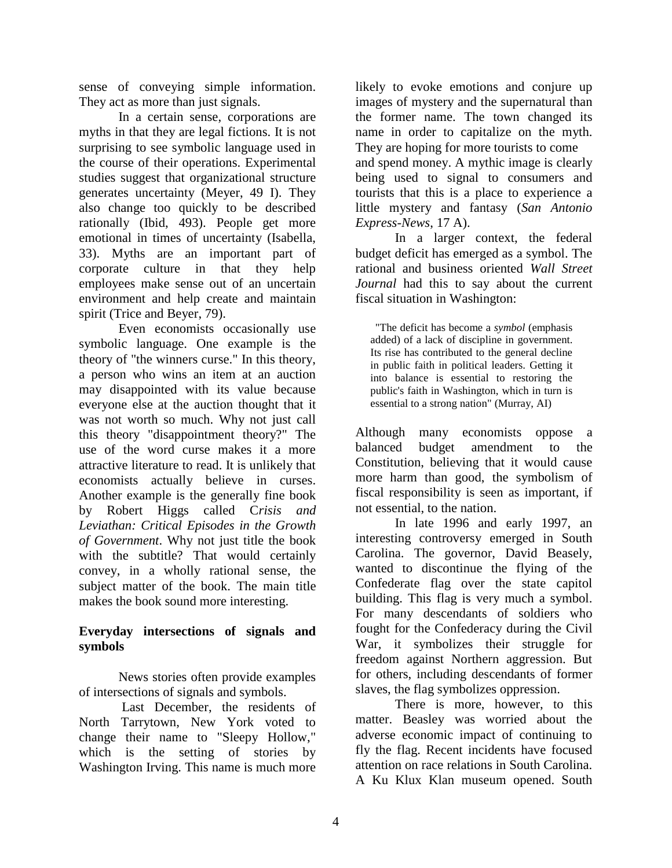sense of conveying simple information. They act as more than just signals.

In a certain sense, corporations are myths in that they are legal fictions. It is not surprising to see symbolic language used in the course of their operations. Experimental studies suggest that organizational structure generates uncertainty (Meyer, 49 I). They also change too quickly to be described rationally (Ibid, 493). People get more emotional in times of uncertainty (Isabella, 33). Myths are an important part of corporate culture in that they help employees make sense out of an uncertain environment and help create and maintain spirit (Trice and Beyer, 79).

Even economists occasionally use symbolic language. One example is the theory of "the winners curse." In this theory, a person who wins an item at an auction may disappointed with its value because everyone else at the auction thought that it was not worth so much. Why not just call this theory "disappointment theory?" The use of the word curse makes it a more attractive literature to read. It is unlikely that economists actually believe in curses. Another example is the generally fine book by Robert Higgs called C*risis and Leviathan: Critical Episodes in the Growth of Government*. Why not just title the book with the subtitle? That would certainly convey, in a wholly rational sense, the subject matter of the book. The main title makes the book sound more interesting.

## **Everyday intersections of signals and symbols**

News stories often provide examples of intersections of signals and symbols.

Last December, the residents of North Tarrytown, New York voted to change their name to "Sleepy Hollow," which is the setting of stories by Washington Irving. This name is much more likely to evoke emotions and conjure up images of mystery and the supernatural than the former name. The town changed its name in order to capitalize on the myth. They are hoping for more tourists to come and spend money. A mythic image is clearly being used to signal to consumers and tourists that this is a place to experience a little mystery and fantasy (*San Antonio Express-News*, 17 A).

In a larger context, the federal budget deficit has emerged as a symbol. The rational and business oriented *Wall Street Journal* had this to say about the current fiscal situation in Washington:

"The deficit has become a *symbol* (emphasis added) of a lack of discipline in government. Its rise has contributed to the general decline in public faith in political leaders. Getting it into balance is essential to restoring the public's faith in Washington, which in turn is essential to a strong nation" (Murray, AI)

Although many economists oppose a balanced budget amendment to the Constitution, believing that it would cause more harm than good, the symbolism of fiscal responsibility is seen as important, if not essential, to the nation.

In late 1996 and early 1997, an interesting controversy emerged in South Carolina. The governor, David Beasely, wanted to discontinue the flying of the Confederate flag over the state capitol building. This flag is very much a symbol. For many descendants of soldiers who fought for the Confederacy during the Civil War, it symbolizes their struggle for freedom against Northern aggression. But for others, including descendants of former slaves, the flag symbolizes oppression.

There is more, however, to this matter. Beasley was worried about the adverse economic impact of continuing to fly the flag. Recent incidents have focused attention on race relations in South Carolina. A Ku Klux Klan museum opened. South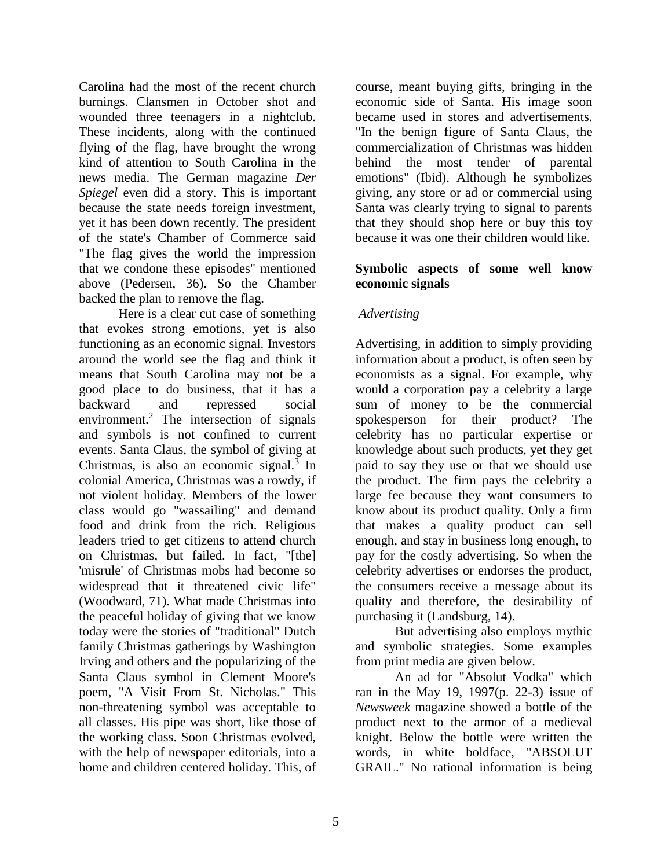Carolina had the most of the recent church burnings. Clansmen in October shot and wounded three teenagers in a nightclub. These incidents, along with the continued flying of the flag, have brought the wrong kind of attention to South Carolina in the news media. The German magazine *Der Spiegel* even did a story. This is important because the state needs foreign investment, yet it has been down recently. The president of the state's Chamber of Commerce said "The flag gives the world the impression that we condone these episodes" mentioned above (Pedersen, 36). So the Chamber backed the plan to remove the flag.

Here is a clear cut case of something that evokes strong emotions, yet is also functioning as an economic signal. Investors around the world see the flag and think it means that South Carolina may not be a good place to do business, that it has a backward and repressed social environment.<sup>2</sup> The intersection of signals and symbols is not confined to current events. Santa Claus, the symbol of giving at Christmas, is also an economic signal.<sup>3</sup> In colonial America, Christmas was a rowdy, if not violent holiday. Members of the lower class would go "wassailing" and demand food and drink from the rich. Religious leaders tried to get citizens to attend church on Christmas, but failed. In fact, "[the] 'misrule' of Christmas mobs had become so widespread that it threatened civic life" (Woodward, 71). What made Christmas into the peaceful holiday of giving that we know today were the stories of "traditional" Dutch family Christmas gatherings by Washington Irving and others and the popularizing of the Santa Claus symbol in Clement Moore's poem, "A Visit From St. Nicholas." This non-threatening symbol was acceptable to all classes. His pipe was short, like those of the working class. Soon Christmas evolved, with the help of newspaper editorials, into a home and children centered holiday. This, of

course, meant buying gifts, bringing in the economic side of Santa. His image soon became used in stores and advertisements. "In the benign figure of Santa Claus, the commercialization of Christmas was hidden behind the most tender of parental emotions" (Ibid). Although he symbolizes giving, any store or ad or commercial using Santa was clearly trying to signal to parents that they should shop here or buy this toy because it was one their children would like.

#### **Symbolic aspects of some well know economic signals**

# *Advertising*

Advertising, in addition to simply providing information about a product, is often seen by economists as a signal. For example, why would a corporation pay a celebrity a large sum of money to be the commercial spokesperson for their product? The celebrity has no particular expertise or knowledge about such products, yet they get paid to say they use or that we should use the product. The firm pays the celebrity a large fee because they want consumers to know about its product quality. Only a firm that makes a quality product can sell enough, and stay in business long enough, to pay for the costly advertising. So when the celebrity advertises or endorses the product, the consumers receive a message about its quality and therefore, the desirability of purchasing it (Landsburg, 14).

But advertising also employs mythic and symbolic strategies. Some examples from print media are given below.

An ad for "Absolut Vodka" which ran in the May 19, 1997(p. 22-3) issue of *Newsweek* magazine showed a bottle of the product next to the armor of a medieval knight. Below the bottle were written the words, in white boldface, "ABSOLUT GRAIL." No rational information is being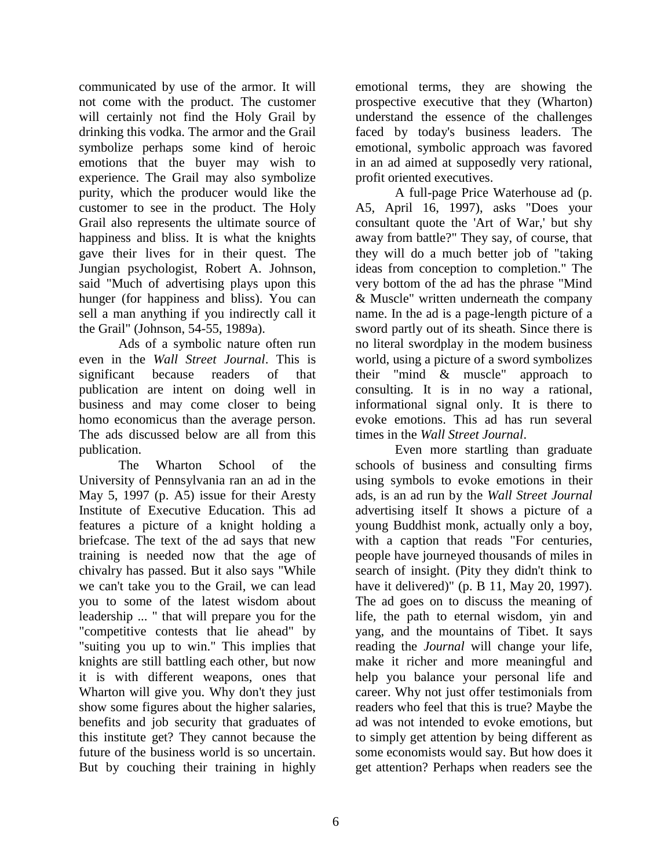communicated by use of the armor. It will not come with the product. The customer will certainly not find the Holy Grail by drinking this vodka. The armor and the Grail symbolize perhaps some kind of heroic emotions that the buyer may wish to experience. The Grail may also symbolize purity, which the producer would like the customer to see in the product. The Holy Grail also represents the ultimate source of happiness and bliss. It is what the knights gave their lives for in their quest. The Jungian psychologist, Robert A. Johnson, said "Much of advertising plays upon this hunger (for happiness and bliss). You can sell a man anything if you indirectly call it the Grail" (Johnson, 54-55, 1989a).

Ads of a symbolic nature often run even in the *Wall Street Journal*. This is significant because readers of that publication are intent on doing well in business and may come closer to being homo economicus than the average person. The ads discussed below are all from this publication.

The Wharton School of the University of Pennsylvania ran an ad in the May 5, 1997 (p. A5) issue for their Aresty Institute of Executive Education. This ad features a picture of a knight holding a briefcase. The text of the ad says that new training is needed now that the age of chivalry has passed. But it also says "While we can't take you to the Grail, we can lead you to some of the latest wisdom about leadership ... " that will prepare you for the "competitive contests that lie ahead" by "suiting you up to win." This implies that knights are still battling each other, but now it is with different weapons, ones that Wharton will give you. Why don't they just show some figures about the higher salaries, benefits and job security that graduates of this institute get? They cannot because the future of the business world is so uncertain. But by couching their training in highly

emotional terms, they are showing the prospective executive that they (Wharton) understand the essence of the challenges faced by today's business leaders. The emotional, symbolic approach was favored in an ad aimed at supposedly very rational, profit oriented executives.

A full-page Price Waterhouse ad (p. A5, April 16, 1997), asks "Does your consultant quote the 'Art of War,' but shy away from battle?" They say, of course, that they will do a much better job of "taking ideas from conception to completion." The very bottom of the ad has the phrase "Mind & Muscle" written underneath the company name. In the ad is a page-length picture of a sword partly out of its sheath. Since there is no literal swordplay in the modem business world, using a picture of a sword symbolizes their "mind & muscle" approach to consulting. It is in no way a rational, informational signal only. It is there to evoke emotions. This ad has run several times in the *Wall Street Journal*.

Even more startling than graduate schools of business and consulting firms using symbols to evoke emotions in their ads, is an ad run by the *Wall Street Journal* advertising itself It shows a picture of a young Buddhist monk, actually only a boy, with a caption that reads "For centuries, people have journeyed thousands of miles in search of insight. (Pity they didn't think to have it delivered)" (p. B 11, May 20, 1997). The ad goes on to discuss the meaning of life, the path to eternal wisdom, yin and yang, and the mountains of Tibet. It says reading the *Journal* will change your life, make it richer and more meaningful and help you balance your personal life and career. Why not just offer testimonials from readers who feel that this is true? Maybe the ad was not intended to evoke emotions, but to simply get attention by being different as some economists would say. But how does it get attention? Perhaps when readers see the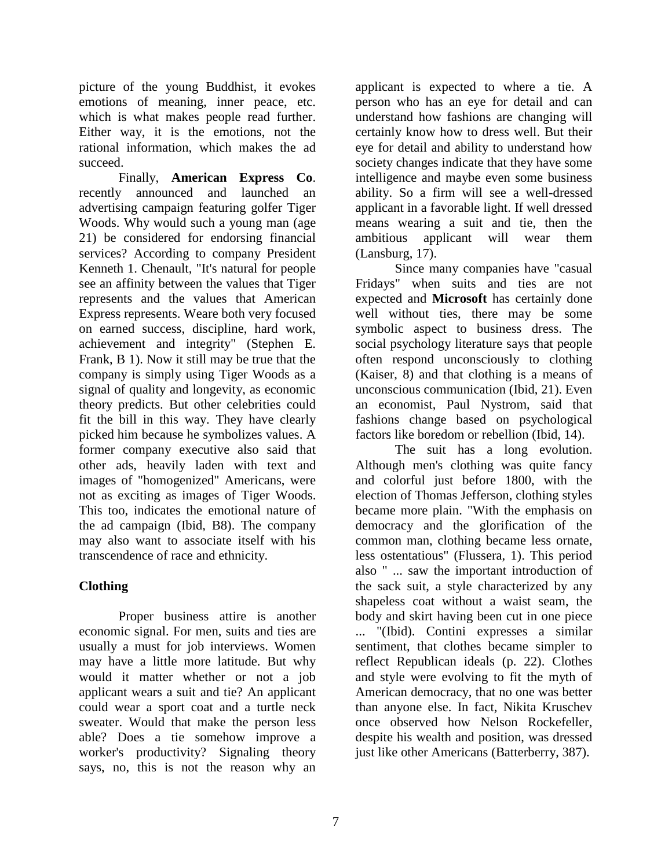picture of the young Buddhist, it evokes emotions of meaning, inner peace, etc. which is what makes people read further. Either way, it is the emotions, not the rational information, which makes the ad succeed.

Finally, **American Express Co**. recently announced and launched an advertising campaign featuring golfer Tiger Woods. Why would such a young man (age 21) be considered for endorsing financial services? According to company President Kenneth 1. Chenault, "It's natural for people see an affinity between the values that Tiger represents and the values that American Express represents. Weare both very focused on earned success, discipline, hard work, achievement and integrity" (Stephen E. Frank, B 1). Now it still may be true that the company is simply using Tiger Woods as a signal of quality and longevity, as economic theory predicts. But other celebrities could fit the bill in this way. They have clearly picked him because he symbolizes values. A former company executive also said that other ads, heavily laden with text and images of "homogenized" Americans, were not as exciting as images of Tiger Woods. This too, indicates the emotional nature of the ad campaign (Ibid, B8). The company may also want to associate itself with his transcendence of race and ethnicity.

# **Clothing**

Proper business attire is another economic signal. For men, suits and ties are usually a must for job interviews. Women may have a little more latitude. But why would it matter whether or not a job applicant wears a suit and tie? An applicant could wear a sport coat and a turtle neck sweater. Would that make the person less able? Does a tie somehow improve a worker's productivity? Signaling theory says, no, this is not the reason why an

applicant is expected to where a tie. A person who has an eye for detail and can understand how fashions are changing will certainly know how to dress well. But their eye for detail and ability to understand how society changes indicate that they have some intelligence and maybe even some business ability. So a firm will see a well-dressed applicant in a favorable light. If well dressed means wearing a suit and tie, then the ambitious applicant will wear them (Lansburg, 17).

Since many companies have "casual Fridays" when suits and ties are not expected and **Microsoft** has certainly done well without ties, there may be some symbolic aspect to business dress. The social psychology literature says that people often respond unconsciously to clothing (Kaiser, 8) and that clothing is a means of unconscious communication (Ibid, 21). Even an economist, Paul Nystrom, said that fashions change based on psychological factors like boredom or rebellion (Ibid, 14).

The suit has a long evolution. Although men's clothing was quite fancy and colorful just before 1800, with the election of Thomas Jefferson, clothing styles became more plain. "With the emphasis on democracy and the glorification of the common man, clothing became less ornate, less ostentatious" (Flussera, 1). This period also " ... saw the important introduction of the sack suit, a style characterized by any shapeless coat without a waist seam, the body and skirt having been cut in one piece ... "(Ibid). Contini expresses a similar sentiment, that clothes became simpler to reflect Republican ideals (p. 22). Clothes and style were evolving to fit the myth of American democracy, that no one was better than anyone else. In fact, Nikita Kruschev once observed how Nelson Rockefeller, despite his wealth and position, was dressed just like other Americans (Batterberry, 387).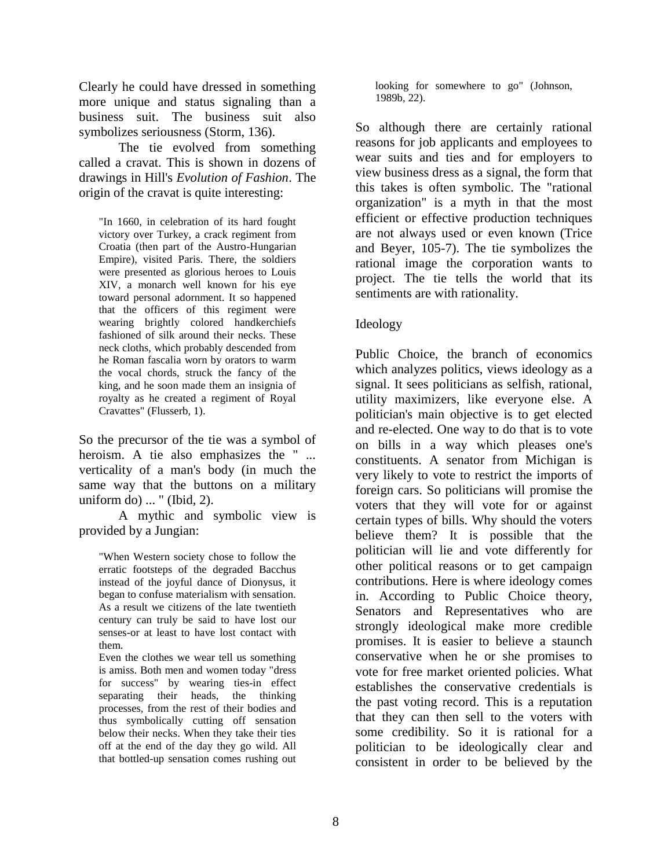Clearly he could have dressed in something more unique and status signaling than a business suit. The business suit also symbolizes seriousness (Storm, 136).

The tie evolved from something called a cravat. This is shown in dozens of drawings in Hill's *Evolution of Fashion*. The origin of the cravat is quite interesting:

"In 1660, in celebration of its hard fought victory over Turkey, a crack regiment from Croatia (then part of the Austro-Hungarian Empire), visited Paris. There, the soldiers were presented as glorious heroes to Louis XIV, a monarch well known for his eye toward personal adornment. It so happened that the officers of this regiment were wearing brightly colored handkerchiefs fashioned of silk around their necks. These neck cloths, which probably descended from he Roman fascalia worn by orators to warm the vocal chords, struck the fancy of the king, and he soon made them an insignia of royalty as he created a regiment of Royal Cravattes" (Flusserb, 1).

So the precursor of the tie was a symbol of heroism. A tie also emphasizes the " ... verticality of a man's body (in much the same way that the buttons on a military uniform do) ... " (Ibid, 2).

A mythic and symbolic view is provided by a Jungian:

"When Western society chose to follow the erratic footsteps of the degraded Bacchus instead of the joyful dance of Dionysus, it began to confuse materialism with sensation. As a result we citizens of the late twentieth century can truly be said to have lost our senses-or at least to have lost contact with them.

Even the clothes we wear tell us something is amiss. Both men and women today "dress for success" by wearing ties-in effect separating their heads, the thinking processes, from the rest of their bodies and thus symbolically cutting off sensation below their necks. When they take their ties off at the end of the day they go wild. All that bottled-up sensation comes rushing out

looking for somewhere to go" (Johnson, 1989b, 22).

So although there are certainly rational reasons for job applicants and employees to wear suits and ties and for employers to view business dress as a signal, the form that this takes is often symbolic. The "rational organization" is a myth in that the most efficient or effective production techniques are not always used or even known (Trice and Beyer, 105-7). The tie symbolizes the rational image the corporation wants to project. The tie tells the world that its sentiments are with rationality.

## Ideology

Public Choice, the branch of economics which analyzes politics, views ideology as a signal. It sees politicians as selfish, rational, utility maximizers, like everyone else. A politician's main objective is to get elected and re-elected. One way to do that is to vote on bills in a way which pleases one's constituents. A senator from Michigan is very likely to vote to restrict the imports of foreign cars. So politicians will promise the voters that they will vote for or against certain types of bills. Why should the voters believe them? It is possible that the politician will lie and vote differently for other political reasons or to get campaign contributions. Here is where ideology comes in. According to Public Choice theory, Senators and Representatives who are strongly ideological make more credible promises. It is easier to believe a staunch conservative when he or she promises to vote for free market oriented policies. What establishes the conservative credentials is the past voting record. This is a reputation that they can then sell to the voters with some credibility. So it is rational for a politician to be ideologically clear and consistent in order to be believed by the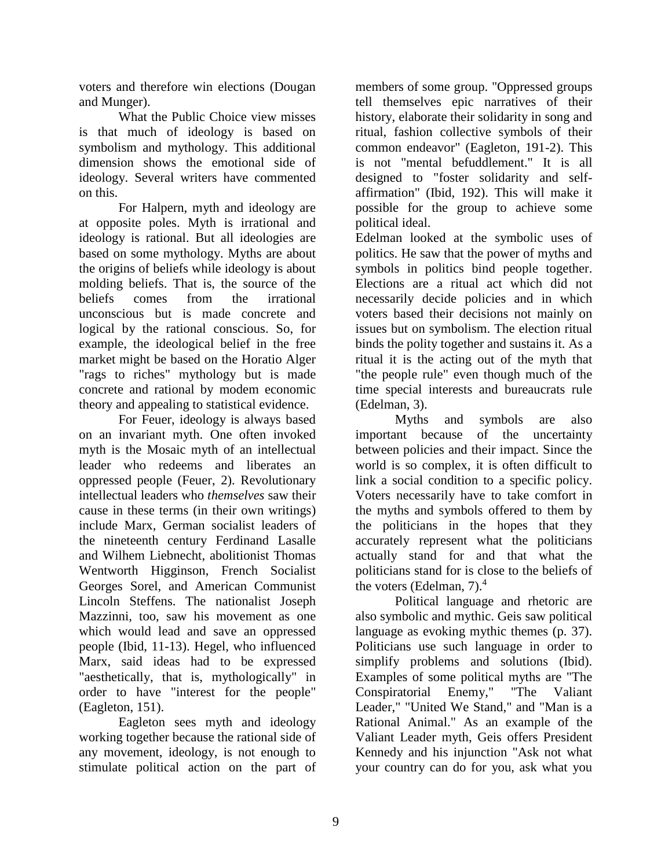voters and therefore win elections (Dougan and Munger).

What the Public Choice view misses is that much of ideology is based on symbolism and mythology. This additional dimension shows the emotional side of ideology. Several writers have commented on this.

For Halpern, myth and ideology are at opposite poles. Myth is irrational and ideology is rational. But all ideologies are based on some mythology. Myths are about the origins of beliefs while ideology is about molding beliefs. That is, the source of the beliefs comes from the irrational unconscious but is made concrete and logical by the rational conscious. So, for example, the ideological belief in the free market might be based on the Horatio Alger "rags to riches" mythology but is made concrete and rational by modem economic theory and appealing to statistical evidence.

For Feuer, ideology is always based on an invariant myth. One often invoked myth is the Mosaic myth of an intellectual leader who redeems and liberates an oppressed people (Feuer, 2). Revolutionary intellectual leaders who *themselves* saw their cause in these terms (in their own writings) include Marx, German socialist leaders of the nineteenth century Ferdinand Lasalle and Wilhem Liebnecht, abolitionist Thomas Wentworth Higginson, French Socialist Georges Sorel, and American Communist Lincoln Steffens. The nationalist Joseph Mazzinni, too, saw his movement as one which would lead and save an oppressed people (Ibid, 11-13). Hegel, who influenced Marx, said ideas had to be expressed "aesthetically, that is, mythologically" in order to have "interest for the people" (Eagleton, 151).

Eagleton sees myth and ideology working together because the rational side of any movement, ideology, is not enough to stimulate political action on the part of

members of some group. "Oppressed groups tell themselves epic narratives of their history, elaborate their solidarity in song and ritual, fashion collective symbols of their common endeavor" (Eagleton, 191-2). This is not "mental befuddlement." It is all designed to "foster solidarity and selfaffirmation" (Ibid, 192). This will make it possible for the group to achieve some political ideal.

Edelman looked at the symbolic uses of politics. He saw that the power of myths and symbols in politics bind people together. Elections are a ritual act which did not necessarily decide policies and in which voters based their decisions not mainly on issues but on symbolism. The election ritual binds the polity together and sustains it. As a ritual it is the acting out of the myth that "the people rule" even though much of the time special interests and bureaucrats rule (Edelman, 3).

Myths and symbols are also important because of the uncertainty between policies and their impact. Since the world is so complex, it is often difficult to link a social condition to a specific policy. Voters necessarily have to take comfort in the myths and symbols offered to them by the politicians in the hopes that they accurately represent what the politicians actually stand for and that what the politicians stand for is close to the beliefs of the voters (Edelman,  $7<sup>4</sup>$ )

Political language and rhetoric are also symbolic and mythic. Geis saw political language as evoking mythic themes (p. 37). Politicians use such language in order to simplify problems and solutions (Ibid). Examples of some political myths are "The Conspiratorial Enemy," "The Valiant Leader," "United We Stand," and "Man is a Rational Animal." As an example of the Valiant Leader myth, Geis offers President Kennedy and his injunction "Ask not what your country can do for you, ask what you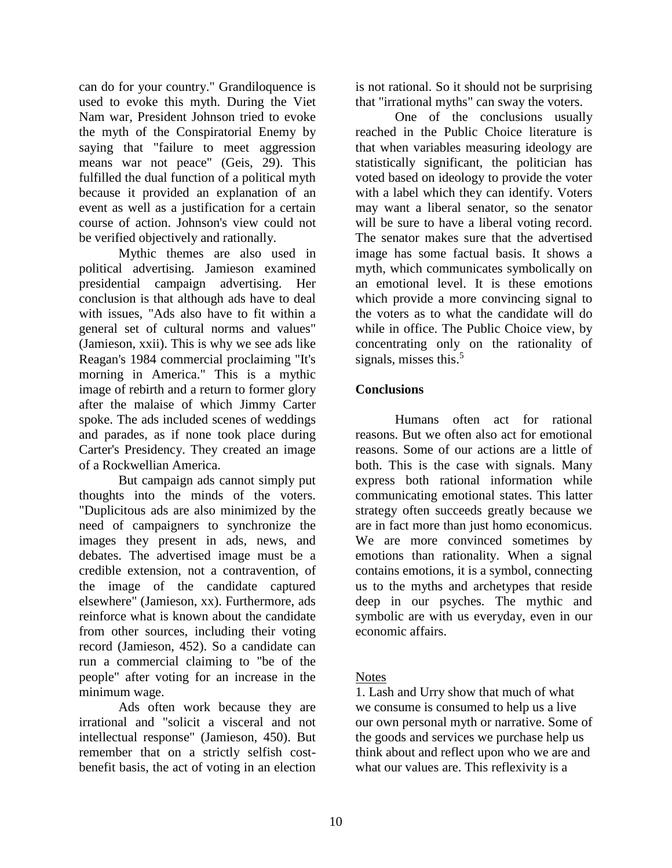can do for your country." Grandiloquence is used to evoke this myth. During the Viet Nam war, President Johnson tried to evoke the myth of the Conspiratorial Enemy by saying that "failure to meet aggression means war not peace" (Geis, 29). This fulfilled the dual function of a political myth because it provided an explanation of an event as well as a justification for a certain course of action. Johnson's view could not be verified objectively and rationally.

Mythic themes are also used in political advertising. Jamieson examined presidential campaign advertising. Her conclusion is that although ads have to deal with issues, "Ads also have to fit within a general set of cultural norms and values" (Jamieson, xxii). This is why we see ads like Reagan's 1984 commercial proclaiming "It's morning in America." This is a mythic image of rebirth and a return to former glory after the malaise of which Jimmy Carter spoke. The ads included scenes of weddings and parades, as if none took place during Carter's Presidency. They created an image of a Rockwellian America.

But campaign ads cannot simply put thoughts into the minds of the voters. "Duplicitous ads are also minimized by the need of campaigners to synchronize the images they present in ads, news, and debates. The advertised image must be a credible extension, not a contravention, of the image of the candidate captured elsewhere" (Jamieson, xx). Furthermore, ads reinforce what is known about the candidate from other sources, including their voting record (Jamieson, 452). So a candidate can run a commercial claiming to "be of the people" after voting for an increase in the minimum wage.

Ads often work because they are irrational and "solicit a visceral and not intellectual response" (Jamieson, 450). But remember that on a strictly selfish costbenefit basis, the act of voting in an election is not rational. So it should not be surprising that "irrational myths" can sway the voters.

One of the conclusions usually reached in the Public Choice literature is that when variables measuring ideology are statistically significant, the politician has voted based on ideology to provide the voter with a label which they can identify. Voters may want a liberal senator, so the senator will be sure to have a liberal voting record. The senator makes sure that the advertised image has some factual basis. It shows a myth, which communicates symbolically on an emotional level. It is these emotions which provide a more convincing signal to the voters as to what the candidate will do while in office. The Public Choice view, by concentrating only on the rationality of signals, misses this. $5$ 

## **Conclusions**

Humans often act for rational reasons. But we often also act for emotional reasons. Some of our actions are a little of both. This is the case with signals. Many express both rational information while communicating emotional states. This latter strategy often succeeds greatly because we are in fact more than just homo economicus. We are more convinced sometimes by emotions than rationality. When a signal contains emotions, it is a symbol, connecting us to the myths and archetypes that reside deep in our psyches. The mythic and symbolic are with us everyday, even in our economic affairs.

## Notes

1. Lash and Urry show that much of what we consume is consumed to help us a live our own personal myth or narrative. Some of the goods and services we purchase help us think about and reflect upon who we are and what our values are. This reflexivity is a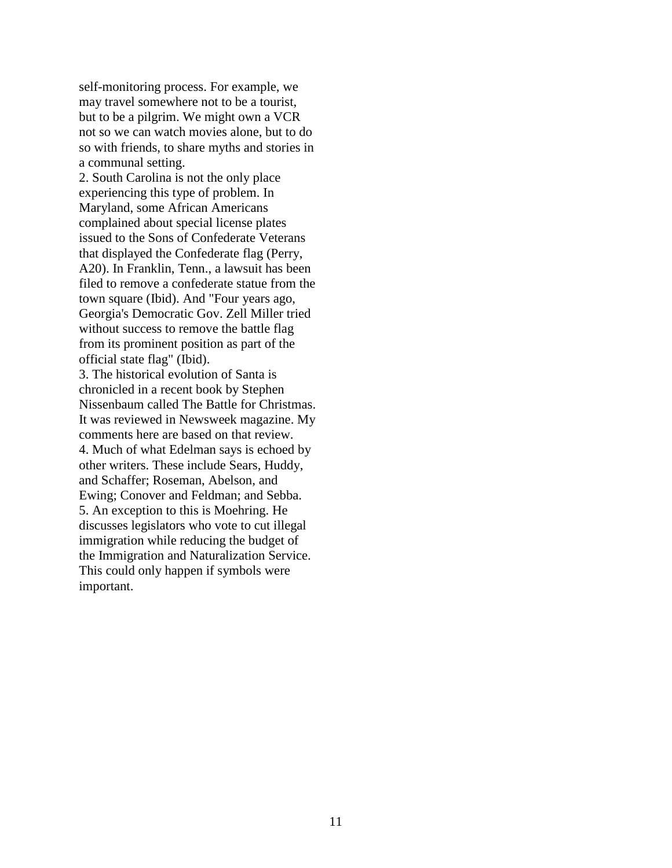self-monitoring process. For example, we may travel somewhere not to be a tourist, but to be a pilgrim. We might own a VCR not so we can watch movies alone, but to do so with friends, to share myths and stories in a communal setting.

2. South Carolina is not the only place experiencing this type of problem. In Maryland, some African Americans complained about special license plates issued to the Sons of Confederate Veterans that displayed the Confederate flag (Perry, A20). In Franklin, Tenn., a lawsuit has been filed to remove a confederate statue from the town square (Ibid). And "Four years ago, Georgia's Democratic Gov. Zell Miller tried without success to remove the battle flag from its prominent position as part of the official state flag" (Ibid).

3. The historical evolution of Santa is chronicled in a recent book by Stephen Nissenbaum called The Battle for Christmas. It was reviewed in Newsweek magazine. My comments here are based on that review. 4. Much of what Edelman says is echoed by other writers. These include Sears, Huddy, and Schaffer; Roseman, Abelson, and Ewing; Conover and Feldman; and Sebba. 5. An exception to this is Moehring. He discusses legislators who vote to cut illegal immigration while reducing the budget of the Immigration and Naturalization Service. This could only happen if symbols were important.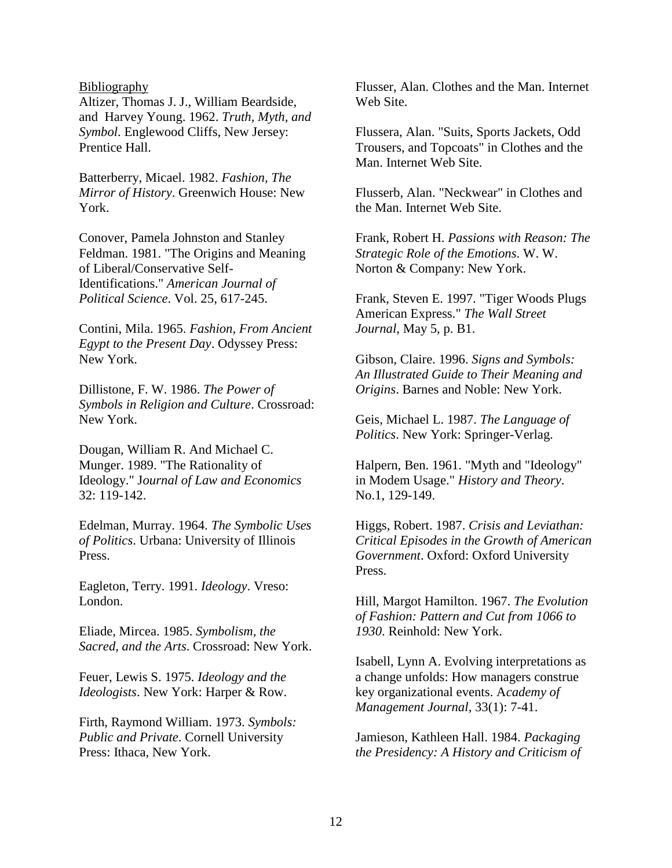#### Bibliography

Altizer, Thomas J. J., William Beardside, and Harvey Young. 1962. *Truth, Myth, and Symbol*. Englewood Cliffs, New Jersey: Prentice Hall.

Batterberry, Micael. 1982. *Fashion, The Mirror of History*. Greenwich House: New York.

Conover, Pamela Johnston and Stanley Feldman. 1981. "The Origins and Meaning of Liberal/Conservative Self-Identifications." *American Journal of Political Science*. Vol. 25, 617-245.

Contini, Mila. 1965. *Fashion, From Ancient Egypt to the Present Day*. Odyssey Press: New York.

Dillistone, F. W. 1986. *The Power of Symbols in Religion and Culture*. Crossroad: New York.

Dougan, William R. And Michael C. Munger. 1989. "The Rationality of Ideology." J*ournal of Law and Economics* 32: 119-142.

Edelman, Murray. 1964. *The Symbolic Uses of Politics*. Urbana: University of Illinois Press.

Eagleton, Terry. 1991. *Ideology*. Vreso: London.

Eliade, Mircea. 1985. *Symbolism, the Sacred, and the Arts*. Crossroad: New York.

Feuer, Lewis S. 1975. *Ideology and the Ideologists*. New York: Harper & Row.

Firth, Raymond William. 1973. *Symbols: Public and Private*. Cornell University Press: Ithaca, New York.

Flusser, Alan. Clothes and the Man. Internet Web Site.

Flussera, Alan. "Suits, Sports Jackets, Odd Trousers, and Topcoats" in Clothes and the Man. Internet Web Site.

Flusserb, Alan. "Neckwear" in Clothes and the Man. Internet Web Site.

Frank, Robert H. *Passions with Reason: The Strategic Role of the Emotions*. W. W. Norton & Company: New York.

Frank, Steven E. 1997. "Tiger Woods Plugs American Express." *The Wall Street Journal*, May 5, p. B1.

Gibson, Claire. 1996. *Signs and Symbols: An Illustrated Guide to Their Meaning and Origins*. Barnes and Noble: New York.

Geis, Michael L. 1987. *The Language of Politics*. New York: Springer-Verlag.

Halpern, Ben. 1961. "Myth and "Ideology" in Modem Usage." *History and Theory*. No.1, 129-149.

Higgs, Robert. 1987. *Crisis and Leviathan: Critical Episodes in the Growth of American Government*. Oxford: Oxford University Press.

Hill, Margot Hamilton. 1967. *The Evolution of Fashion: Pattern and Cut from 1066 to 1930*. Reinhold: New York.

Isabell, Lynn A. Evolving interpretations as a change unfolds: How managers construe key organizational events. A*cademy of Management Journal*, 33(1): 7-41.

Jamieson, Kathleen Hall. 1984. *Packaging the Presidency: A History and Criticism of*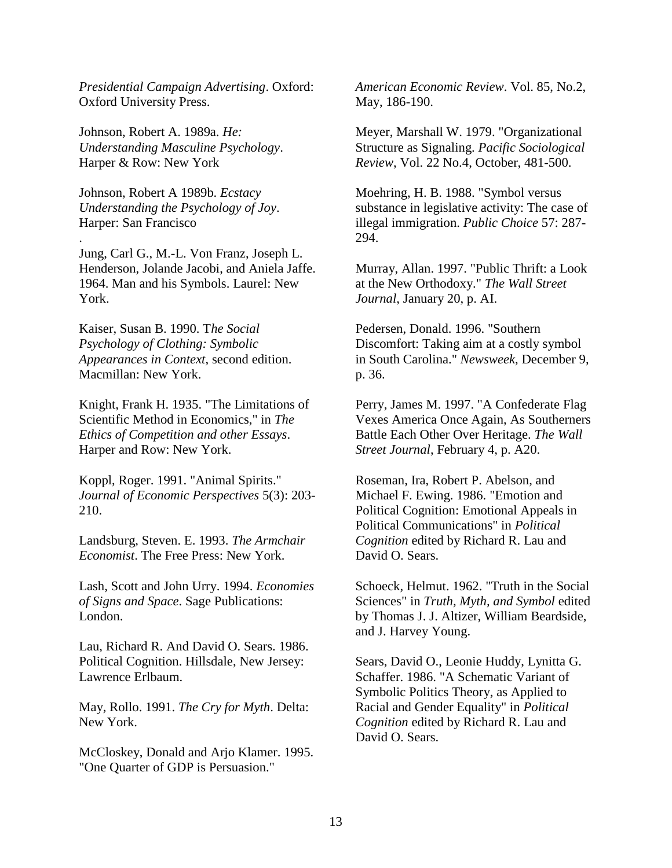*Presidential Campaign Advertising*. Oxford: Oxford University Press.

Johnson, Robert A. 1989a. *He: Understanding Masculine Psychology*. Harper & Row: New York

Johnson, Robert A 1989b. *Ecstacy Understanding the Psychology of Joy*. Harper: San Francisco

.

Jung, Carl G., M.-L. Von Franz, Joseph L. Henderson, Jolande Jacobi, and Aniela Jaffe. 1964. Man and his Symbols. Laurel: New York.

Kaiser, Susan B. 1990. T*he Social Psychology of Clothing: Symbolic Appearances in Context*, second edition. Macmillan: New York.

Knight, Frank H. 1935. "The Limitations of Scientific Method in Economics," in *The Ethics of Competition and other Essays*. Harper and Row: New York.

Koppl, Roger. 1991. "Animal Spirits." *Journal of Economic Perspectives* 5(3): 203- 210.

Landsburg, Steven. E. 1993. *The Armchair Economist*. The Free Press: New York.

Lash, Scott and John Urry. 1994. *Economies of Signs and Space*. Sage Publications: London.

Lau, Richard R. And David O. Sears. 1986. Political Cognition. Hillsdale, New Jersey: Lawrence Erlbaum.

May, Rollo. 1991. *The Cry for Myth*. Delta: New York.

McCloskey, Donald and Arjo Klamer. 1995. "One Quarter of GDP is Persuasion."

*American Economic Review*. Vol. 85, No.2, May, 186-190.

Meyer, Marshall W. 1979. "Organizational Structure as Signaling. *Pacific Sociological Review*, Vol. 22 No.4, October, 481-500.

Moehring, H. B. 1988. "Symbol versus substance in legislative activity: The case of illegal immigration. *Public Choice* 57: 287- 294.

Murray, Allan. 1997. "Public Thrift: a Look at the New Orthodoxy." *The Wall Street Journal*, January 20, p. AI.

Pedersen, Donald. 1996. "Southern Discomfort: Taking aim at a costly symbol in South Carolina." *Newsweek*, December 9, p. 36.

Perry, James M. 1997. "A Confederate Flag Vexes America Once Again, As Southerners Battle Each Other Over Heritage. *The Wall Street Journal*, February 4, p. A20.

Roseman, Ira, Robert P. Abelson, and Michael F. Ewing. 1986. "Emotion and Political Cognition: Emotional Appeals in Political Communications" in *Political Cognition* edited by Richard R. Lau and David O. Sears.

Schoeck, Helmut. 1962. "Truth in the Social Sciences" in *Truth, Myth, and Symbol* edited by Thomas J. J. Altizer, William Beardside, and J. Harvey Young.

Sears, David O., Leonie Huddy, Lynitta G. Schaffer. 1986. "A Schematic Variant of Symbolic Politics Theory, as Applied to Racial and Gender Equality" in *Political Cognition* edited by Richard R. Lau and David O. Sears.